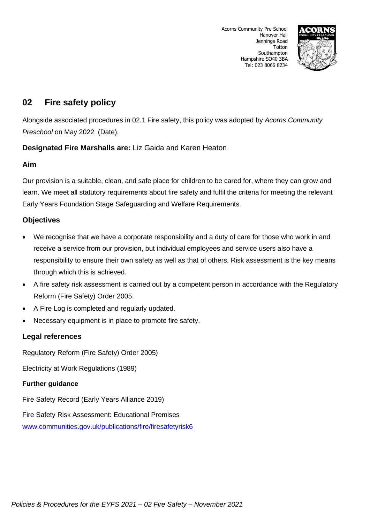

# **02 Fire safety policy**

Alongside associated procedures in 02.1 Fire safety, this policy was adopted by *Acorns Community Preschool* on May 2022 (Date).

## **Designated Fire Marshalls are:** Liz Gaida and Karen Heaton

### **Aim**

Our provision is a suitable, clean, and safe place for children to be cared for, where they can grow and learn. We meet all statutory requirements about fire safety and fulfil the criteria for meeting the relevant Early Years Foundation Stage Safeguarding and Welfare Requirements.

### **Objectives**

- We recognise that we have a corporate responsibility and a duty of care for those who work in and receive a service from our provision, but individual employees and service users also have a responsibility to ensure their own safety as well as that of others. Risk assessment is the key means through which this is achieved.
- A fire safety risk assessment is carried out by a competent person in accordance with the Regulatory Reform (Fire Safety) Order 2005.
- A Fire Log is completed and regularly updated.
- Necessary equipment is in place to promote fire safety.

## **Legal references**

Regulatory Reform (Fire Safety) Order 2005)

Electricity at Work Regulations (1989)

### **Further guidance**

Fire Safety Record (Early Years Alliance 2019)

Fire Safety Risk Assessment: Educational Premises [www.communities.gov.uk/publications/fire/firesafetyrisk6](http://www.communities.gov.uk/publications/fire/firesafetyrisk6)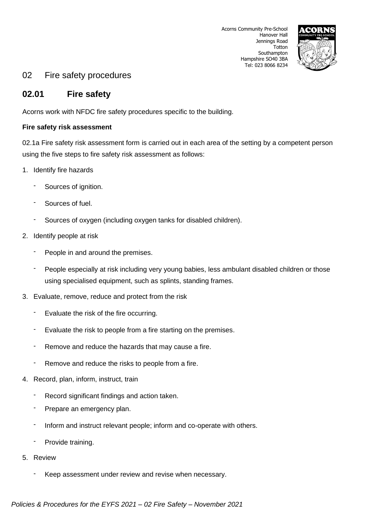

# 02 Fire safety procedures

# **02.01 Fire safety**

Acorns work with NFDC fire safety procedures specific to the building.

### **Fire safety risk assessment**

02.1a Fire safety risk assessment form is carried out in each area of the setting by a competent person using the five steps to fire safety risk assessment as follows:

- 1. Identify fire hazards
	- Sources of ignition.
	- Sources of fuel.
	- Sources of oxygen (including oxygen tanks for disabled children).
- 2. Identify people at risk
	- People in and around the premises.
	- People especially at risk including very young babies, less ambulant disabled children or those using specialised equipment, such as splints, standing frames.
- 3. Evaluate, remove, reduce and protect from the risk
	- Evaluate the risk of the fire occurring.
	- Evaluate the risk to people from a fire starting on the premises.
	- Remove and reduce the hazards that may cause a fire.
	- Remove and reduce the risks to people from a fire.
- 4. Record, plan, inform, instruct, train
	- Record significant findings and action taken.
	- Prepare an emergency plan.
	- Inform and instruct relevant people; inform and co-operate with others.
	- Provide training.
- 5. Review
	- Keep assessment under review and revise when necessary.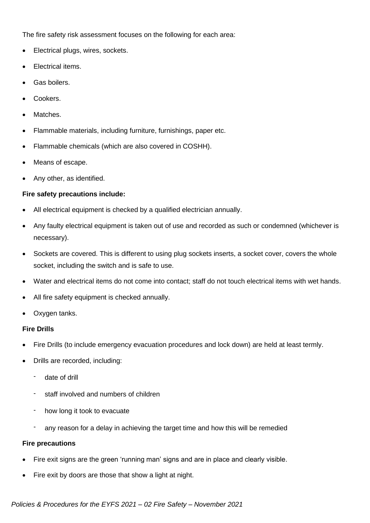The fire safety risk assessment focuses on the following for each area:

- Electrical plugs, wires, sockets.
- Electrical items.
- Gas boilers.
- Cookers.
- Matches.
- Flammable materials, including furniture, furnishings, paper etc.
- Flammable chemicals (which are also covered in COSHH).
- Means of escape.
- Any other, as identified.

#### **Fire safety precautions include:**

- All electrical equipment is checked by a qualified electrician annually.
- Any faulty electrical equipment is taken out of use and recorded as such or condemned (whichever is necessary).
- Sockets are covered. This is different to using plug sockets inserts, a socket cover, covers the whole socket, including the switch and is safe to use.
- Water and electrical items do not come into contact; staff do not touch electrical items with wet hands.
- All fire safety equipment is checked annually.
- Oxygen tanks.

#### **Fire Drills**

- Fire Drills (to include emergency evacuation procedures and lock down) are held at least termly.
- Drills are recorded, including:
	- date of drill
	- staff involved and numbers of children
	- how long it took to evacuate
	- any reason for a delay in achieving the target time and how this will be remedied

#### **Fire precautions**

- Fire exit signs are the green 'running man' signs and are in place and clearly visible.
- Fire exit by doors are those that show a light at night.